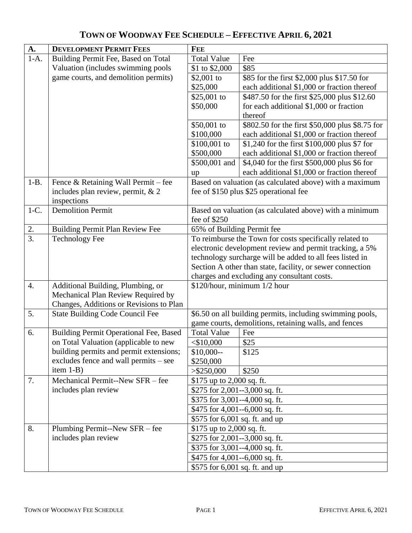| <b>A.</b>   | <b>DEVELOPMENT PERMIT FEES</b>                                                   | <b>FEE</b>                                                       |                                                          |  |  |
|-------------|----------------------------------------------------------------------------------|------------------------------------------------------------------|----------------------------------------------------------|--|--|
| $1-A.$      | Building Permit Fee, Based on Total                                              | <b>Total Value</b>                                               | Fee                                                      |  |  |
|             | Valuation (includes swimming pools                                               | \$1 to \$2,000                                                   | \$85                                                     |  |  |
|             | game courts, and demolition permits)                                             | $$2,001$ to                                                      | \$85 for the first \$2,000 plus \$17.50 for              |  |  |
|             |                                                                                  | \$25,000                                                         | each additional \$1,000 or fraction thereof              |  |  |
|             |                                                                                  | \$25,001 to                                                      | \$487.50 for the first \$25,000 plus \$12.60             |  |  |
|             |                                                                                  | \$50,000                                                         | for each additional \$1,000 or fraction                  |  |  |
|             |                                                                                  |                                                                  | thereof                                                  |  |  |
|             |                                                                                  | \$50,001 to                                                      | \$802.50 for the first \$50,000 plus \$8.75 for          |  |  |
|             |                                                                                  | \$100,000                                                        | each additional \$1,000 or fraction thereof              |  |  |
|             |                                                                                  | \$100,001 to                                                     | \$1,240 for the first \$100,000 plus \$7 for             |  |  |
|             |                                                                                  | \$500,000                                                        | each additional \$1,000 or fraction thereof              |  |  |
|             |                                                                                  | \$500,001 and                                                    | \$4,040 for the first \$500,000 plus \$6 for             |  |  |
|             |                                                                                  | up                                                               | each additional \$1,000 or fraction thereof              |  |  |
| $1-B.$      | Fence & Retaining Wall Permit - fee                                              |                                                                  | Based on valuation (as calculated above) with a maximum  |  |  |
|             | includes plan review, permit, & 2                                                |                                                                  | fee of \$150 plus \$25 operational fee                   |  |  |
|             | inspections                                                                      |                                                                  |                                                          |  |  |
| $1-C$ .     | <b>Demolition Permit</b>                                                         |                                                                  | Based on valuation (as calculated above) with a minimum  |  |  |
|             |                                                                                  | fee of \$250                                                     |                                                          |  |  |
| $rac{2}{3}$ | <b>Building Permit Plan Review Fee</b>                                           |                                                                  | 65% of Building Permit fee                               |  |  |
|             | <b>Technology Fee</b>                                                            | To reimburse the Town for costs specifically related to          |                                                          |  |  |
|             |                                                                                  |                                                                  | electronic development review and permit tracking, a 5%  |  |  |
|             |                                                                                  |                                                                  | technology surcharge will be added to all fees listed in |  |  |
|             |                                                                                  | Section A other than state, facility, or sewer connection        |                                                          |  |  |
|             |                                                                                  | charges and excluding any consultant costs.                      |                                                          |  |  |
| 4.          | Additional Building, Plumbing, or                                                | \$120/hour, minimum 1/2 hour                                     |                                                          |  |  |
|             | Mechanical Plan Review Required by                                               |                                                                  |                                                          |  |  |
|             | Changes, Additions or Revisions to Plan                                          |                                                                  |                                                          |  |  |
| 5.          | <b>State Building Code Council Fee</b>                                           | \$6.50 on all building permits, including swimming pools,        |                                                          |  |  |
|             |                                                                                  | game courts, demolitions, retaining walls, and fences            |                                                          |  |  |
| 6.          | Building Permit Operational Fee, Based                                           | <b>Total Value</b>                                               | Fee                                                      |  |  |
|             | on Total Valuation (applicable to new                                            | $<$ \$10,000                                                     | \$25                                                     |  |  |
|             | building permits and permit extensions;<br>excludes fence and wall permits – see | $$10,000-$                                                       | \$125                                                    |  |  |
|             | item $1-B$ )                                                                     | \$250,000                                                        |                                                          |  |  |
| 7.          | Mechanical Permit--New SFR - fee                                                 | $>$ \$250,000<br>\$250                                           |                                                          |  |  |
|             | includes plan review                                                             | \$175 up to 2,000 sq. ft.<br>\$275 for $2,001 - 3,000$ sq. ft.   |                                                          |  |  |
|             |                                                                                  |                                                                  |                                                          |  |  |
|             |                                                                                  | \$375 for 3,001--4,000 sq. ft.                                   |                                                          |  |  |
|             |                                                                                  | \$475 for 4,001--6,000 sq. ft.                                   |                                                          |  |  |
| 8.          | Plumbing Permit--New SFR – fee                                                   | \$575 for 6,001 sq. ft. and up                                   |                                                          |  |  |
|             | includes plan review                                                             | \$175 up to 2,000 sq. ft.                                        |                                                          |  |  |
|             |                                                                                  | \$275 for 2,001--3,000 sq. ft.<br>\$375 for 3,001--4,000 sq. ft. |                                                          |  |  |
|             |                                                                                  |                                                                  |                                                          |  |  |
|             |                                                                                  | \$475 for 4,001--6,000 sq. ft.                                   |                                                          |  |  |
|             |                                                                                  | \$575 for 6,001 sq. ft. and up                                   |                                                          |  |  |

## **TOWN OF WOODWAY FEE SCHEDULE – EFFECTIVE APRIL 6, 2021**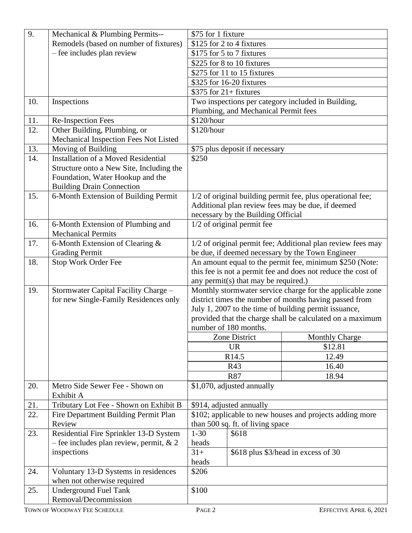| 9.  | Mechanical & Plumbing Permits--                             | \$75 for 1 fixture        |                                      |                                                              |
|-----|-------------------------------------------------------------|---------------------------|--------------------------------------|--------------------------------------------------------------|
|     | Remodels (based on number of fixtures)                      | \$125 for 2 to 4 fixtures |                                      |                                                              |
|     | - fee includes plan review                                  | \$175 for 5 to 7 fixtures |                                      |                                                              |
|     |                                                             |                           |                                      |                                                              |
|     |                                                             |                           | \$225 for 8 to 10 fixtures           |                                                              |
|     |                                                             |                           | \$275 for 11 to 15 fixtures          |                                                              |
|     |                                                             |                           | \$325 for 16-20 fixtures             |                                                              |
|     |                                                             | $$375$ for 21+ fixtures   |                                      |                                                              |
| 10. | Inspections                                                 |                           |                                      | Two inspections per category included in Building,           |
|     |                                                             |                           | Plumbing, and Mechanical Permit fees |                                                              |
| 11. | Re-Inspection Fees                                          | \$120/hour                |                                      |                                                              |
| 12. | Other Building, Plumbing, or                                | \$120/hour                |                                      |                                                              |
|     | Mechanical Inspection Fees Not Listed                       |                           |                                      |                                                              |
| 13. | Moving of Building                                          |                           | \$75 plus deposit if necessary       |                                                              |
| 14. | <b>Installation of a Moved Residential</b>                  | \$250                     |                                      |                                                              |
|     | Structure onto a New Site, Including the                    |                           |                                      |                                                              |
|     | Foundation, Water Hookup and the                            |                           |                                      |                                                              |
|     | <b>Building Drain Connection</b>                            |                           |                                      |                                                              |
| 15. | 6-Month Extension of Building Permit                        |                           |                                      | 1/2 of original building permit fee, plus operational fee;   |
|     |                                                             |                           |                                      | Additional plan review fees may be due, if deemed            |
|     |                                                             |                           | necessary by the Building Official   |                                                              |
| 16. | 6-Month Extension of Plumbing and                           |                           | 1/2 of original permit fee           |                                                              |
|     | <b>Mechanical Permits</b>                                   |                           |                                      |                                                              |
| 17. | 6-Month Extension of Clearing &                             |                           |                                      | 1/2 of original permit fee; Additional plan review fees may  |
|     | <b>Grading Permit</b>                                       |                           |                                      | be due, if deemed necessary by the Town Engineer             |
| 18. | Stop Work Order Fee                                         |                           |                                      | An amount equal to the permit fee, minimum \$250 (Note:      |
|     |                                                             |                           |                                      | this fee is not a permit fee and does not reduce the cost of |
|     |                                                             |                           | any permit(s) that may be required.) |                                                              |
| 19. | Stormwater Capital Facility Charge -                        |                           |                                      | Monthly stormwater service charge for the applicable zone    |
|     | for new Single-Family Residences only                       |                           |                                      | district times the number of months having passed from       |
|     |                                                             |                           |                                      | July 1, 2007 to the time of building permit issuance,        |
|     |                                                             |                           |                                      |                                                              |
|     |                                                             |                           |                                      | provided that the charge shall be calculated on a maximum    |
|     |                                                             | number of 180 months.     |                                      |                                                              |
|     |                                                             |                           | Zone District                        | <b>Monthly Charge</b>                                        |
|     |                                                             |                           | <b>UR</b>                            | \$12.81                                                      |
|     |                                                             |                           | R <sub>14.5</sub>                    | 12.49                                                        |
|     |                                                             |                           |                                      |                                                              |
|     |                                                             |                           | R43                                  | 16.40                                                        |
|     |                                                             |                           | <b>R87</b>                           | 18.94                                                        |
| 20. | Metro Side Sewer Fee - Shown on                             |                           | \$1,070, adjusted annually           |                                                              |
|     | Exhibit A                                                   |                           |                                      |                                                              |
| 21. | Tributary Lot Fee - Shown on Exhibit B                      |                           | \$914, adjusted annually             |                                                              |
| 22. | Fire Department Building Permit Plan                        |                           |                                      | \$102; applicable to new houses and projects adding more     |
|     | Review                                                      |                           | than 500 sq. ft. of living space     |                                                              |
| 23. | Residential Fire Sprinkler 13-D System                      | $1 - 30$                  | \$618                                |                                                              |
|     | - fee includes plan review, permit, $& 2$                   | heads                     |                                      |                                                              |
|     | inspections                                                 | $31+$                     |                                      | \$618 plus \$3/head in excess of 30                          |
|     |                                                             | heads                     |                                      |                                                              |
| 24. | Voluntary 13-D Systems in residences                        | \$206                     |                                      |                                                              |
| 25. | when not otherwise required<br><b>Underground Fuel Tank</b> | \$100                     |                                      |                                                              |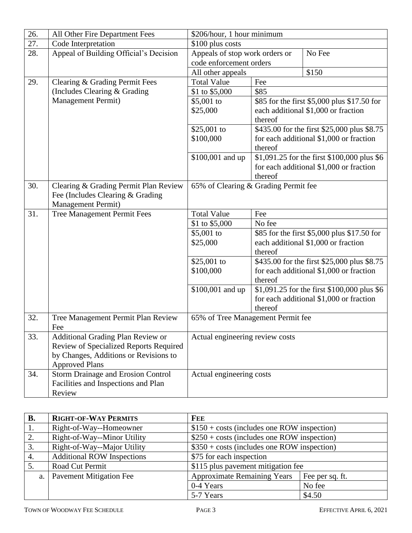| 26. | All Other Fire Department Fees           | \$206/hour, 1 hour minimum               |         |                                                                                    |
|-----|------------------------------------------|------------------------------------------|---------|------------------------------------------------------------------------------------|
| 27. | Code Interpretation                      | \$100 plus costs                         |         |                                                                                    |
| 28. | Appeal of Building Official's Decision   | Appeals of stop work orders or<br>No Fee |         |                                                                                    |
|     |                                          | code enforcement orders                  |         |                                                                                    |
|     |                                          | All other appeals                        |         | \$150                                                                              |
| 29. | Clearing & Grading Permit Fees           | <b>Total Value</b>                       | Fee     |                                                                                    |
|     | (Includes Clearing & Grading             | \$1 to \$5,000                           | \$85    |                                                                                    |
|     | Management Permit)                       | \$5,001 to                               |         | \$85 for the first \$5,000 plus \$17.50 for                                        |
|     |                                          | \$25,000                                 |         | each additional \$1,000 or fraction                                                |
|     |                                          |                                          | thereof |                                                                                    |
|     |                                          | \$25,001 to                              |         | \$435.00 for the first \$25,000 plus \$8.75                                        |
|     |                                          | \$100,000                                |         | for each additional \$1,000 or fraction                                            |
|     |                                          |                                          | thereof |                                                                                    |
|     |                                          | \$100,001 and up                         |         | \$1,091.25 for the first \$100,000 plus \$6                                        |
|     |                                          |                                          |         | for each additional \$1,000 or fraction                                            |
|     |                                          |                                          | thereof |                                                                                    |
| 30. | Clearing & Grading Permit Plan Review    | 65% of Clearing & Grading Permit fee     |         |                                                                                    |
|     | Fee (Includes Clearing & Grading         |                                          |         |                                                                                    |
|     | <b>Management Permit)</b>                |                                          |         |                                                                                    |
| 31. | Tree Management Permit Fees              | <b>Total Value</b>                       | Fee     |                                                                                    |
|     |                                          | \$1 to \$5,000                           | No fee  |                                                                                    |
|     |                                          | \$5,001 to<br>\$25,000                   |         | \$85 for the first \$5,000 plus \$17.50 for<br>each additional \$1,000 or fraction |
|     |                                          |                                          | thereof |                                                                                    |
|     |                                          | \$25,001 to                              |         | \$435.00 for the first \$25,000 plus \$8.75                                        |
|     |                                          | \$100,000                                |         | for each additional \$1,000 or fraction                                            |
|     |                                          |                                          | thereof |                                                                                    |
|     |                                          | \$100,001 and up                         |         | \$1,091.25 for the first \$100,000 plus \$6                                        |
|     |                                          |                                          |         | for each additional \$1,000 or fraction                                            |
|     |                                          |                                          | thereof |                                                                                    |
| 32. | Tree Management Permit Plan Review       | 65% of Tree Management Permit fee        |         |                                                                                    |
|     | Fee                                      |                                          |         |                                                                                    |
| 33. | <b>Additional Grading Plan Review or</b> | Actual engineering review costs          |         |                                                                                    |
|     | Review of Specialized Reports Required   |                                          |         |                                                                                    |
|     | by Changes, Additions or Revisions to    |                                          |         |                                                                                    |
|     | <b>Approved Plans</b>                    |                                          |         |                                                                                    |
| 34. | Storm Drainage and Erosion Control       | Actual engineering costs                 |         |                                                                                    |
|     | Facilities and Inspections and Plan      |                                          |         |                                                                                    |
|     | Review                                   |                                          |         |                                                                                    |

| В. | <b>RIGHT-OF-WAY PERMITS</b>       | <b>FEE</b>                                          |                 |
|----|-----------------------------------|-----------------------------------------------------|-----------------|
| 1. | Right-of-Way--Homeowner           | $$150 + \text{costs}$ (includes one ROW inspection) |                 |
| 2. | Right-of-Way--Minor Utility       | $$250 + \text{costs}$ (includes one ROW inspection) |                 |
| 3. | Right-of-Way--Major Utility       | $$350 + \text{costs}$ (includes one ROW inspection) |                 |
| 4. | <b>Additional ROW Inspections</b> | \$75 for each inspection                            |                 |
|    | Road Cut Permit                   | \$115 plus pavement mitigation fee                  |                 |
| a. | <b>Pavement Mitigation Fee</b>    | <b>Approximate Remaining Years</b>                  | Fee per sq. ft. |
|    |                                   | 0-4 Years                                           | No fee          |
|    |                                   | 5-7 Years                                           | \$4.50          |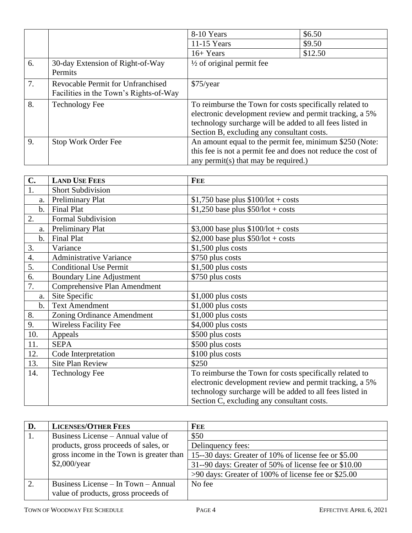|    |                                                                             | 8-10 Years                                                                                                                                                                                                                   | \$6.50  |
|----|-----------------------------------------------------------------------------|------------------------------------------------------------------------------------------------------------------------------------------------------------------------------------------------------------------------------|---------|
|    |                                                                             | $11-15$ Years                                                                                                                                                                                                                | \$9.50  |
|    |                                                                             | $16+Years$                                                                                                                                                                                                                   | \$12.50 |
| 6. | 30-day Extension of Right-of-Way<br>Permits                                 | $\frac{1}{2}$ of original permit fee                                                                                                                                                                                         |         |
| 7. | Revocable Permit for Unfranchised<br>Facilities in the Town's Rights-of-Way | $$75$ /year                                                                                                                                                                                                                  |         |
| 8. | <b>Technology Fee</b>                                                       | To reimburse the Town for costs specifically related to<br>electronic development review and permit tracking, a 5%<br>technology surcharge will be added to all fees listed in<br>Section B, excluding any consultant costs. |         |
| 9. | Stop Work Order Fee                                                         | An amount equal to the permit fee, minimum \$250 (Note:<br>this fee is not a permit fee and does not reduce the cost of<br>any permit(s) that may be required.)                                                              |         |

| $C_{\bullet}$ | <b>LAND USE FEES</b>            | <b>FEE</b>                                               |
|---------------|---------------------------------|----------------------------------------------------------|
| 1.            | <b>Short Subdivision</b>        |                                                          |
| a.            | Preliminary Plat                | $$1,750$ base plus $$100/lot + costs$                    |
| $\mathbf b$ . | <b>Final Plat</b>               | $$1,250$ base plus $$50/lot + costs$                     |
| 2.            | Formal Subdivision              |                                                          |
| a.            | Preliminary Plat                | $$3,000$ base plus $$100/lot + costs$                    |
| $b$ .         | <b>Final Plat</b>               | \$2,000 base plus $$50/lot + costs$                      |
| 3.            | Variance                        | $$1,500$ plus costs                                      |
| 4.            | <b>Administrative Variance</b>  | \$750 plus costs                                         |
| 5.            | <b>Conditional Use Permit</b>   | $$1,500$ plus costs                                      |
| 6.            | <b>Boundary Line Adjustment</b> | \$750 plus costs                                         |
| 7.            | Comprehensive Plan Amendment    |                                                          |
| a.            | Site Specific                   | $$1,000$ plus costs                                      |
| $\mathbf b$ . | <b>Text Amendment</b>           | $$1,000$ plus costs                                      |
| 8.            | Zoning Ordinance Amendment      | $$1,000$ plus costs                                      |
| 9.            | <b>Wireless Facility Fee</b>    | $$4,000$ plus costs                                      |
| 10.           | Appeals                         | \$500 plus costs                                         |
| 11.           | <b>SEPA</b>                     | \$500 plus costs                                         |
| 12.           | Code Interpretation             | \$100 plus costs                                         |
| 13.           | <b>Site Plan Review</b>         | \$250                                                    |
| 14.           | <b>Technology Fee</b>           | To reimburse the Town for costs specifically related to  |
|               |                                 | electronic development review and permit tracking, a 5%  |
|               |                                 | technology surcharge will be added to all fees listed in |
|               |                                 | Section C, excluding any consultant costs.               |

| D.             | <b>LICENSES/OTHER FEES</b>                                                  | <b>FEE</b>                                            |
|----------------|-----------------------------------------------------------------------------|-------------------------------------------------------|
|                | Business License – Annual value of                                          | \$50                                                  |
|                | products, gross proceeds of sales, or                                       | Delinquency fees:                                     |
|                | gross income in the Town is greater than                                    | 15--30 days: Greater of 10% of license fee or \$5.00  |
|                | $$2,000$ /year                                                              | 31--90 days: Greater of 50% of license fee or \$10.00 |
|                |                                                                             | >90 days: Greater of 100% of license fee or \$25.00   |
| $\overline{2}$ | Business License – In Town – Annual<br>value of products, gross proceeds of | No fee                                                |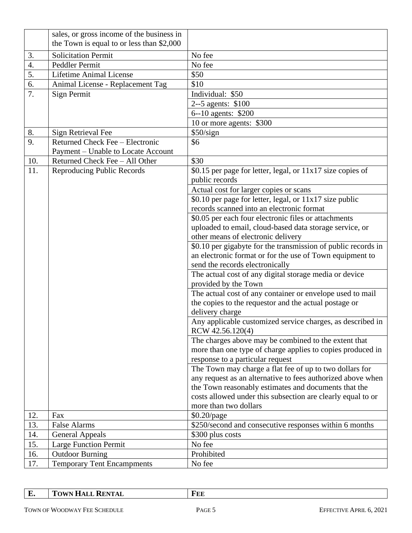|     | sales, or gross income of the business in<br>the Town is equal to or less than \$2,000 |                                                               |
|-----|----------------------------------------------------------------------------------------|---------------------------------------------------------------|
|     |                                                                                        |                                                               |
| 3.  | <b>Solicitation Permit</b>                                                             | No fee                                                        |
| 4.  | Peddler Permit                                                                         | No fee                                                        |
| 5.  | Lifetime Animal License                                                                | \$50                                                          |
| 6.  | Animal License - Replacement Tag                                                       | \$10                                                          |
| 7.  | Sign Permit                                                                            | Individual: \$50                                              |
|     |                                                                                        | 2--5 agents: \$100                                            |
|     |                                                                                        | 6--10 agents: \$200                                           |
|     |                                                                                        | 10 or more agents: \$300                                      |
| 8.  | Sign Retrieval Fee                                                                     | \$50/sign                                                     |
| 9.  | Returned Check Fee - Electronic                                                        | \$6                                                           |
|     | Payment – Unable to Locate Account                                                     |                                                               |
| 10. | Returned Check Fee - All Other                                                         | \$30                                                          |
| 11. | Reproducing Public Records                                                             | \$0.15 per page for letter, legal, or $11x17$ size copies of  |
|     |                                                                                        | public records                                                |
|     |                                                                                        | Actual cost for larger copies or scans                        |
|     |                                                                                        | \$0.10 per page for letter, legal, or $11x17$ size public     |
|     |                                                                                        | records scanned into an electronic format                     |
|     |                                                                                        | \$0.05 per each four electronic files or attachments          |
|     |                                                                                        | uploaded to email, cloud-based data storage service, or       |
|     |                                                                                        | other means of electronic delivery                            |
|     |                                                                                        | \$0.10 per gigabyte for the transmission of public records in |
|     |                                                                                        | an electronic format or for the use of Town equipment to      |
|     |                                                                                        | send the records electronically                               |
|     |                                                                                        | The actual cost of any digital storage media or device        |
|     |                                                                                        | provided by the Town                                          |
|     |                                                                                        | The actual cost of any container or envelope used to mail     |
|     |                                                                                        | the copies to the requestor and the actual postage or         |
|     |                                                                                        | delivery charge                                               |
|     |                                                                                        | Any applicable customized service charges, as described in    |
|     |                                                                                        | RCW 42.56.120(4)                                              |
|     |                                                                                        | The charges above may be combined to the extent that          |
|     |                                                                                        | more than one type of charge applies to copies produced in    |
|     |                                                                                        | response to a particular request                              |
|     |                                                                                        | The Town may charge a flat fee of up to two dollars for       |
|     |                                                                                        | any request as an alternative to fees authorized above when   |
|     |                                                                                        | the Town reasonably estimates and documents that the          |
|     |                                                                                        | costs allowed under this subsection are clearly equal to or   |
|     |                                                                                        | more than two dollars                                         |
| 12. | Fax                                                                                    | $$0.20$ /page                                                 |
| 13. | <b>False Alarms</b>                                                                    | \$250/second and consecutive responses within 6 months        |
| 14. | <b>General Appeals</b>                                                                 | \$300 plus costs                                              |
| 15. | Large Function Permit                                                                  | No fee                                                        |
| 16. | <b>Outdoor Burning</b>                                                                 | Prohibited                                                    |
| 17. | <b>Temporary Tent Encampments</b>                                                      | No fee                                                        |

**E. TOWN HALL RENTAL FEE**